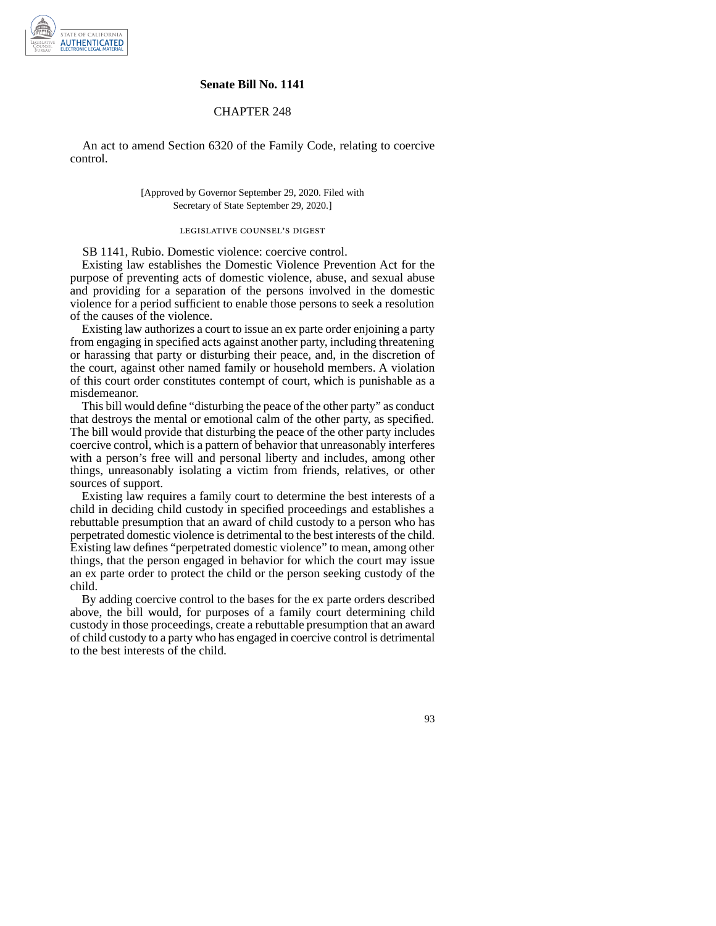

### **Senate Bill No. 1141**

## CHAPTER 248

An act to amend Section 6320 of the Family Code, relating to coercive control.

### [Approved by Governor September 29, 2020. Filed with Secretary of State September 29, 2020.]

# legislative counsel' s digest

SB 1141, Rubio. Domestic violence: coercive control.

Existing law establishes the Domestic Violence Prevention Act for the purpose of preventing acts of domestic violence, abuse, and sexual abuse and providing for a separation of the persons involved in the domestic violence for a period sufficient to enable those persons to seek a resolution of the causes of the violence.

Existing law authorizes a court to issue an ex parte order enjoining a party from engaging in specified acts against another party, including threatening or harassing that party or disturbing their peace, and, in the discretion of the court, against other named family or household members. A violation of this court order constitutes contempt of court, which is punishable as a misdemeanor.

This bill would define "disturbing the peace of the other party" as conduct that destroys the mental or emotional calm of the other party, as specified. The bill would provide that disturbing the peace of the other party includes coercive control, which is a pattern of behavior that unreasonably interferes with a person's free will and personal liberty and includes, among other things, unreasonably isolating a victim from friends, relatives, or other sources of support.

Existing law requires a family court to determine the best interests of a child in deciding child custody in specified proceedings and establishes a rebuttable presumption that an award of child custody to a person who has perpetrated domestic violence is detrimental to the best interests of the child. Existing law defines "perpetrated domestic violence" to mean, among other things, that the person engaged in behavior for which the court may issue an ex parte order to protect the child or the person seeking custody of the child.

By adding coercive control to the bases for the ex parte orders described above, the bill would, for purposes of a family court determining child custody in those proceedings, create a rebuttable presumption that an award of child custody to a party who has engaged in coercive control is detrimental to the best interests of the child.

93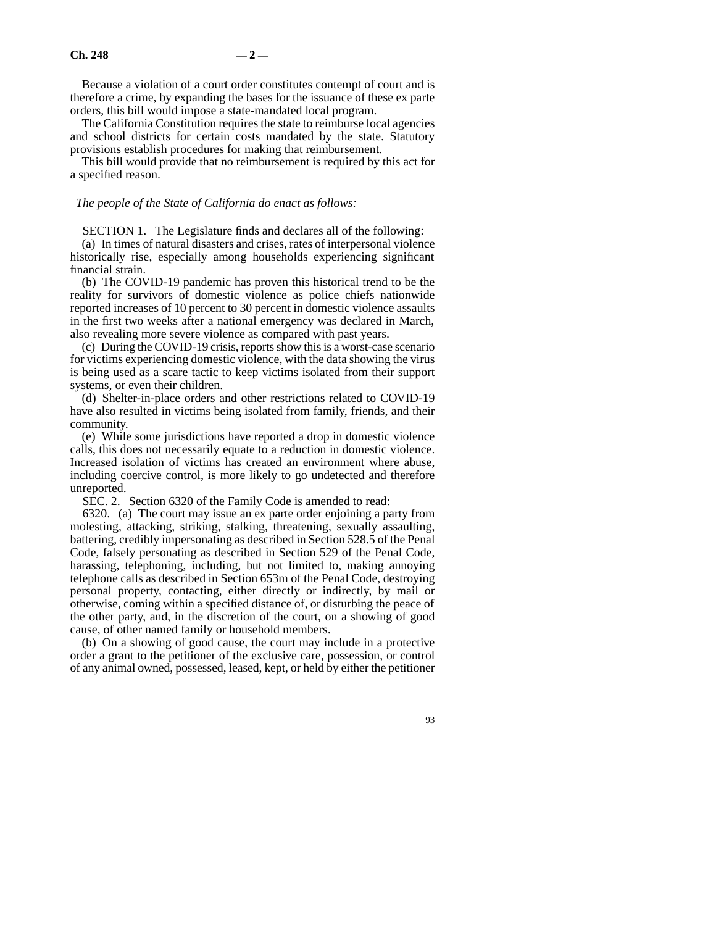Because a violation of a court order constitutes contempt of court and is therefore a crime, by expanding the bases for the issuance of these ex parte orders, this bill would impose a state-mandated local program.

The California Constitution requires the state to reimburse local agencies and school districts for certain costs mandated by the state. Statutory provisions establish procedures for making that reimbursement.

This bill would provide that no reimbursement is required by this act for a specified reason.

#### *The people of the State of California do enact as follows:*

SECTION 1. The Legislature finds and declares all of the following:

(a) In times of natural disasters and crises, rates of interpersonal violence historically rise, especially among households experiencing significant financial strain.

(b) The COVID-19 pandemic has proven this historical trend to be the reality for survivors of domestic violence as police chiefs nationwide reported increases of 10 percent to 30 percent in domestic violence assaults in the first two weeks after a national emergency was declared in March, also revealing more severe violence as compared with past years.

(c) During the COVID-19 crisis, reports show this is a worst-case scenario for victims experiencing domestic violence, with the data showing the virus is being used as a scare tactic to keep victims isolated from their support systems, or even their children.

(d) Shelter-in-place orders and other restrictions related to COVID-19 have also resulted in victims being isolated from family, friends, and their community.

(e) While some jurisdictions have reported a drop in domestic violence calls, this does not necessarily equate to a reduction in domestic violence. Increased isolation of victims has created an environment where abuse, including coercive control, is more likely to go undetected and therefore unreported.

SEC. 2. Section 6320 of the Family Code is amended to read:

6320. (a) The court may issue an ex parte order enjoining a party from molesting, attacking, striking, stalking, threatening, sexually assaulting, battering, credibly impersonating as described in Section 528.5 of the Penal Code, falsely personating as described in Section 529 of the Penal Code, harassing, telephoning, including, but not limited to, making annoying telephone calls as described in Section 653m of the Penal Code, destroying personal property, contacting, either directly or indirectly, by mail or otherwise, coming within a specified distance of, or disturbing the peace of the other party, and, in the discretion of the court, on a showing of good cause, of other named family or household members.

(b) On a showing of good cause, the court may include in a protective order a grant to the petitioner of the exclusive care, possession, or control of any animal owned, possessed, leased, kept, or held by either the petitioner

93